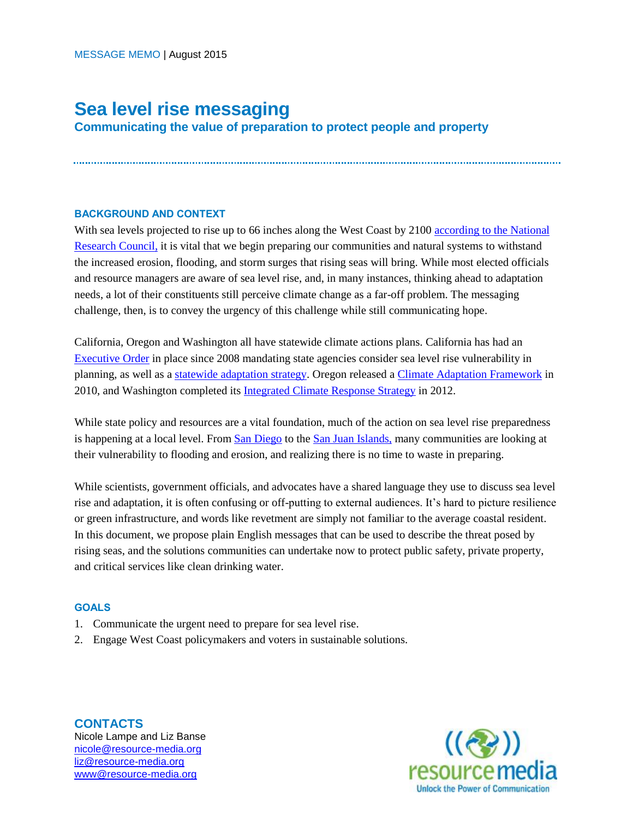# **Sea level rise messaging**

**Communicating the value of preparation to protect people and property** 

## **BACKGROUND AND CONTEXT**

With sea levels projected to rise up to 66 inches along the West Coast by 2100 according to the National [Research Council,](http://www.ecy.wa.gov/climatechange/docs/ipa_slr_nrcbrief.pdf) it is vital that we begin preparing our communities and natural systems to withstand the increased erosion, flooding, and storm surges that rising seas will bring. While most elected officials and resource managers are aware of sea level rise, and, in many instances, thinking ahead to adaptation needs, a lot of their constituents still perceive climate change as a far-off problem. The messaging challenge, then, is to convey the urgency of this challenge while still communicating hope.

California, Oregon and Washington all have statewide climate actions plans. California has had an [Executive Order](http://gov.ca.gov/news.php?id=11036) in place since 2008 mandating state agencies consider sea level rise vulnerability in planning, as well as a [statewide adaptation strategy.](http://resources.ca.gov/docs/climate/Final_Safeguarding_CA_Plan_July_31_2014.pdf) Oregon released a [Climate Adaptation Framework](http://www.oregon.gov/LCD/docs/ClimateChange/Framework_Final.pdf?ga=t) in 2010, and Washington completed its [Integrated Climate Response Strategy](https://fortress.wa.gov/ecy/publications/documents/1201004.pdf) in 2012.

While state policy and resources are a vital foundation, much of the action on sea level rise preparedness is happening at a local level. Fro[m San Diego](http://sdclimatecollaborative.org/project/san-diego-bay-sea-level-rise-adaptation-strategy/) to the [San Juan Islands,](https://sanjuanco.com/cdp/docs/CAO/BAS_Synthesis_FreqFlooded2011-1-12.pdf) many communities are looking at their vulnerability to flooding and erosion, and realizing there is no time to waste in preparing.

While scientists, government officials, and advocates have a shared language they use to discuss sea level rise and adaptation, it is often confusing or off-putting to external audiences. It's hard to picture resilience or green infrastructure, and words like revetment are simply not familiar to the average coastal resident. In this document, we propose plain English messages that can be used to describe the threat posed by rising seas, and the solutions communities can undertake now to protect public safety, private property, and critical services like clean drinking water.

#### **GOALS**

- 1. Communicate the urgent need to prepare for sea level rise.
- 2. Engage West Coast policymakers and voters in sustainable solutions.

**CONTACTS** Nicole Lampe and Liz Banse [nicole@resource-media.org](mailto:nicole@resource-media.org) [liz@resource-media.org](mailto:liz@resource-media.org) [www@resource-media.org](mailto:www@resource-media.org)

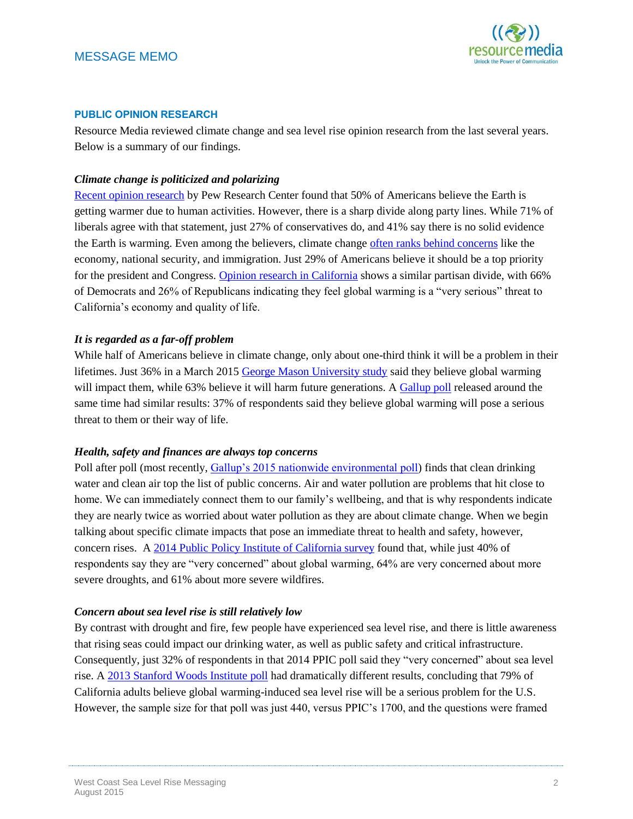

## **PUBLIC OPINION RESEARCH**

Resource Media reviewed climate change and sea level rise opinion research from the last several years. Below is a summary of our findings.

## *Climate change is politicized and polarizing*

[Recent opinion research](http://www.pewinternet.org/2015/07/01/chapter-2-climate-change-and-energy-issues/) by Pew Research Center found that 50% of Americans believe the Earth is getting warmer due to human activities. However, there is a sharp divide along party lines. While 71% of liberals agree with that statement, just 27% of conservatives do, and 41% say there is no solid evidence the Earth is warming. Even among the believers, climate change [often ranks behind concerns](http://www.people-press.org/2014/01/27/deficit-reduction-declines-as-policy-priority/) like the economy, national security, and immigration. Just 29% of Americans believe it should be a top priority for the president and Congress. [Opinion research in California](http://www.ppic.org/content/pubs/survey/S_715MBS.pdf) shows a similar partisan divide, with 66% of Democrats and 26% of Republicans indicating they feel global warming is a "very serious" threat to California's economy and quality of life.

#### *It is regarded as a far-off problem*

While half of Americans believe in climate change, only about one-third think it will be a problem in their lifetimes. Just 36% in a March 2015 [George Mason University study](http://climatechangecommunication.org/sites/default/files/reports/Climate-Change-American-Mind-March-2015%20FINAL.pdf) said they believe global warming will impact them, while 63% believe it will harm future generations. [A Gallup poll](http://www.gallup.com/poll/182150/views-climate-change-stable-extreme-winter.aspx) released around the same time had similar results: 37% of respondents said they believe global warming will pose a serious threat to them or their way of life.

#### *Health, safety and finances are always top concerns*

Poll after poll (most recently, [Gallup's 2015 nationwide environmental poll\)](http://www.gallup.com/poll/182105/concern-environmental-threats-eases.aspx) finds that clean drinking water and clean air top the list of public concerns. Air and water pollution are problems that hit close to home. We can immediately connect them to our family's wellbeing, and that is why respondents indicate they are nearly twice as worried about water pollution as they are about climate change. When we begin talking about specific climate impacts that pose an immediate threat to health and safety, however, concern rises. A [2014 Public Policy Institute of California survey](http://www.ppic.org/content/pubs/survey/S_714MBS.pdf) found that, while just 40% of respondents say they are "very concerned" about global warming, 64% are very concerned about more severe droughts, and 61% about more severe wildfires.

#### *Concern about sea level rise is still relatively low*

By contrast with drought and fire, few people have experienced sea level rise, and there is little awareness that rising seas could impact our drinking water, as well as public safety and critical infrastructure. Consequently, just 32% of respondents in that 2014 PPIC poll said they "very concerned" about sea level rise. A [2013 Stanford Woods Institute poll](https://woods.stanford.edu/sites/default/files/documents/Climate_Survey_Exec_Summ_CA.pdf) had dramatically different results, concluding that 79% of California adults believe global warming-induced sea level rise will be a serious problem for the U.S. However, the sample size for that poll was just 440, versus PPIC's 1700, and the questions were framed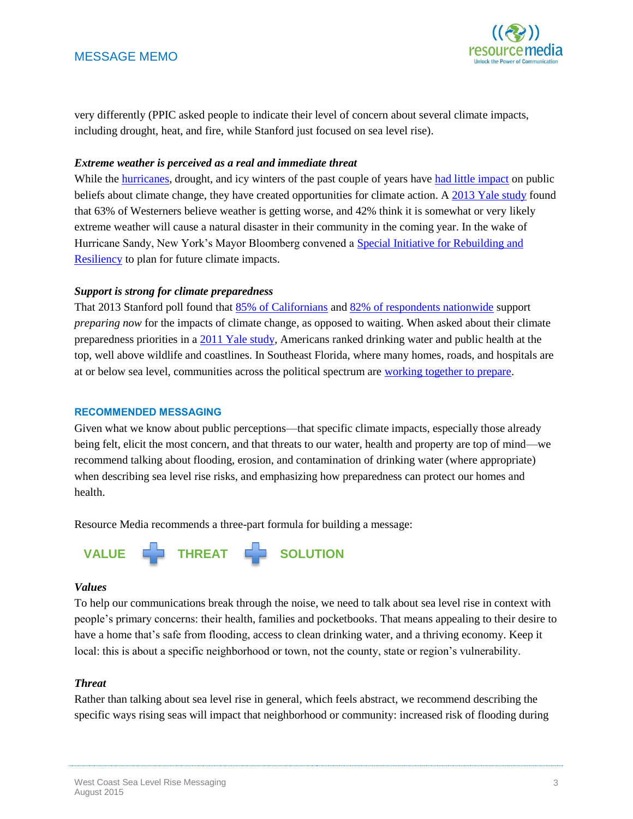

very differently (PPIC asked people to indicate their level of concern about several climate impacts, including drought, heat, and fire, while Stanford just focused on sea level rise).

## *Extreme weather is perceived as a real and immediate threat*

While the [hurricanes,](http://www.climatecentral.org/news/sandy-didnt-change-a-thing-16669) drought, and icy winters of the past couple of years have [had little impact](http://www.gallup.com/poll/182150/views-climate-change-stable-extreme-winter.aspx) on public beliefs about climate change, they have created opportunities for climate action. A [2013 Yale study](http://environment.yale.edu/climate-communication/files/Extreme-Weather-Public-Opinion-November-2013.pdf) found that 63% of Westerners believe weather is getting worse, and 42% think it is somewhat or very likely extreme weather will cause a natural disaster in their community in the coming year. In the wake of Hurricane Sandy, New York's Mayor Bloomberg convened a [Special Initiative for Rebuilding and](http://www.nyc.gov/html/sirr/html/home/home.shtml)  [Resiliency](http://www.nyc.gov/html/sirr/html/home/home.shtml) to plan for future climate impacts.

# *Support is strong for climate preparedness*

That 2013 Stanford poll found that [85% of Californians](https://woods.stanford.edu/sites/default/files/documents/Climate_Survey_Exec_Summ_CA.pdf) and [82% of respondents nationwide](https://woods.stanford.edu/sites/default/files/documents/Climate_Survey_Exec_Summ_US.pdf) support *preparing now* for the impacts of climate change, as opposed to waiting. When asked about their climate preparedness priorities in a [2011 Yale study,](http://environment.yale.edu/climate-communication/files/PolicySupportMay2011.pdf) Americans ranked drinking water and public health at the top, well above wildlife and coastlines. In Southeast Florida, where many homes, roads, and hospitals are at or below sea level, communities across the political spectrum are [working together to prepare.](http://www.southeastfloridaclimatecompact.org/)

## **RECOMMENDED MESSAGING**

Given what we know about public perceptions—that specific climate impacts, especially those already being felt, elicit the most concern, and that threats to our water, health and property are top of mind—we recommend talking about flooding, erosion, and contamination of drinking water (where appropriate) when describing sea level rise risks, and emphasizing how preparedness can protect our homes and health.

Resource Media recommends a three-part formula for building a message:



## *Values*

To help our communications break through the noise, we need to talk about sea level rise in context with people's primary concerns: their health, families and pocketbooks. That means appealing to their desire to have a home that's safe from flooding, access to clean drinking water, and a thriving economy. Keep it local: this is about a specific neighborhood or town, not the county, state or region's vulnerability.

## *Threat*

Rather than talking about sea level rise in general, which feels abstract, we recommend describing the specific ways rising seas will impact that neighborhood or community: increased risk of flooding during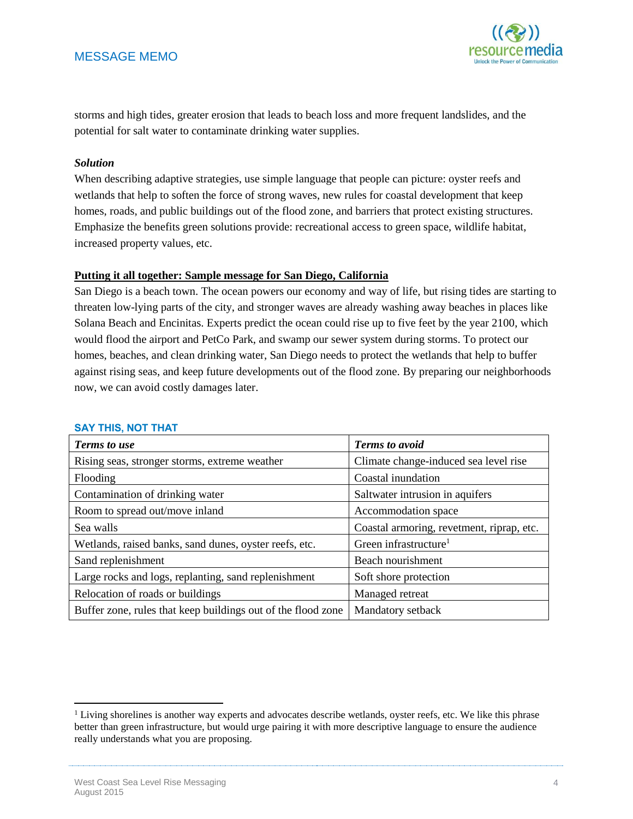

storms and high tides, greater erosion that leads to beach loss and more frequent landslides, and the potential for salt water to contaminate drinking water supplies.

#### *Solution*

When describing adaptive strategies, use simple language that people can picture: oyster reefs and wetlands that help to soften the force of strong waves, new rules for coastal development that keep homes, roads, and public buildings out of the flood zone, and barriers that protect existing structures. Emphasize the benefits green solutions provide: recreational access to green space, wildlife habitat, increased property values, etc.

# **Putting it all together: Sample message for San Diego, California**

San Diego is a beach town. The ocean powers our economy and way of life, but rising tides are starting to threaten low-lying parts of the city, and stronger waves are already washing away beaches in places like Solana Beach and Encinitas. Experts predict the ocean could rise up to five feet by the year 2100, which would flood the airport and PetCo Park, and swamp our sewer system during storms. To protect our homes, beaches, and clean drinking water, San Diego needs to protect the wetlands that help to buffer against rising seas, and keep future developments out of the flood zone. By preparing our neighborhoods now, we can avoid costly damages later.

| <b>Terms to use</b>                                          | <b>Terms</b> to avoid                     |
|--------------------------------------------------------------|-------------------------------------------|
| Rising seas, stronger storms, extreme weather                | Climate change-induced sea level rise     |
| Flooding                                                     | Coastal inundation                        |
| Contamination of drinking water                              | Saltwater intrusion in aquifers           |
| Room to spread out/move inland                               | Accommodation space                       |
| Sea walls                                                    | Coastal armoring, revetment, riprap, etc. |
| Wetlands, raised banks, sand dunes, oyster reefs, etc.       | Green infrastructure <sup>1</sup>         |
| Sand replenishment                                           | Beach nourishment                         |
| Large rocks and logs, replanting, sand replenishment         | Soft shore protection                     |
| Relocation of roads or buildings                             | Managed retreat                           |
| Buffer zone, rules that keep buildings out of the flood zone | Mandatory setback                         |

#### **SAY THIS, NOT THAT**

 $\overline{\phantom{a}}$ 

<sup>&</sup>lt;sup>1</sup> Living shorelines is another way experts and advocates describe wetlands, oyster reefs, etc. We like this phrase better than green infrastructure, but would urge pairing it with more descriptive language to ensure the audience really understands what you are proposing.